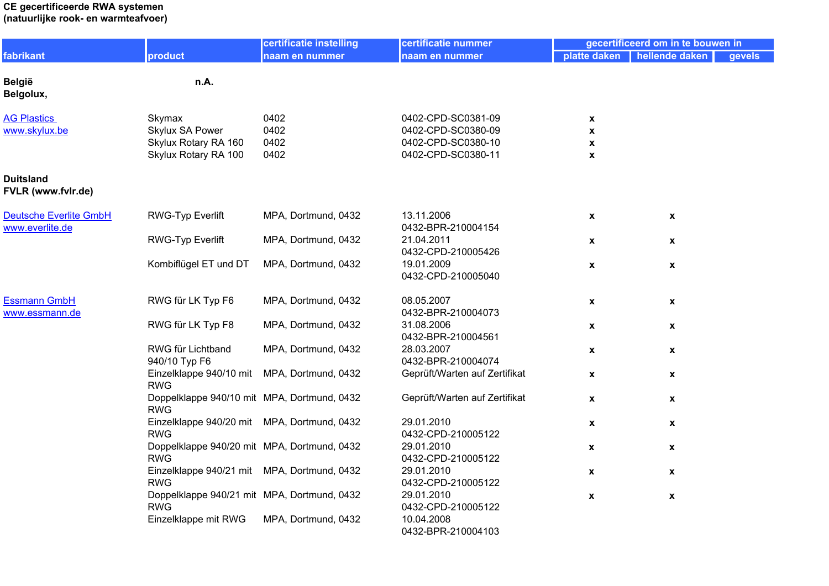#### **CE gecertificeerde RWA systemen (natuurlijke rook- en warmteafvoer)**

|                                                  |                                                           | certificatie instelling | certificatie nummer              |                    | gecertificeerd om in te bouwen in |        |
|--------------------------------------------------|-----------------------------------------------------------|-------------------------|----------------------------------|--------------------|-----------------------------------|--------|
| fabrikant                                        | product                                                   | naam en nummer          | naam en nummer                   | platte daken       | hellende daken                    | gevels |
| <b>België</b><br>Belgolux,                       | n.A.                                                      |                         |                                  |                    |                                   |        |
| <b>AG Plastics</b>                               | Skymax                                                    | 0402                    | 0402-CPD-SC0381-09               | X                  |                                   |        |
| www.skylux.be                                    | Skylux SA Power                                           | 0402                    | 0402-CPD-SC0380-09               | X                  |                                   |        |
|                                                  | Skylux Rotary RA 160                                      | 0402                    | 0402-CPD-SC0380-10               | X                  |                                   |        |
|                                                  | Skylux Rotary RA 100                                      | 0402                    | 0402-CPD-SC0380-11               | X                  |                                   |        |
| <b>Duitsland</b><br>FVLR (www.fvlr.de)           |                                                           |                         |                                  |                    |                                   |        |
| <b>Deutsche Everlite GmbH</b><br>www.everlite.de | <b>RWG-Typ Everlift</b>                                   | MPA, Dortmund, 0432     | 13.11.2006<br>0432-BPR-210004154 | X                  | $\pmb{\chi}$                      |        |
|                                                  | <b>RWG-Typ Everlift</b>                                   | MPA, Dortmund, 0432     | 21.04.2011<br>0432-CPD-210005426 | $\mathbf{x}$       | $\pmb{\mathsf{x}}$                |        |
|                                                  | Kombiflügel ET und DT                                     | MPA, Dortmund, 0432     | 19.01.2009<br>0432-CPD-210005040 | X                  | $\pmb{\mathsf{x}}$                |        |
| <b>Essmann GmbH</b><br>www.essmann.de            | RWG für LK Typ F6                                         | MPA, Dortmund, 0432     | 08.05.2007<br>0432-BPR-210004073 | X                  | $\pmb{\chi}$                      |        |
|                                                  | RWG für LK Typ F8                                         | MPA, Dortmund, 0432     | 31.08.2006<br>0432-BPR-210004561 | X                  | X                                 |        |
|                                                  | RWG für Lichtband<br>940/10 Typ F6                        | MPA, Dortmund, 0432     | 28.03.2007<br>0432-BPR-210004074 | X                  | $\pmb{\mathsf{x}}$                |        |
|                                                  | Einzelklappe 940/10 mit MPA, Dortmund, 0432<br><b>RWG</b> |                         | Geprüft/Warten auf Zertifikat    | X                  | $\pmb{\chi}$                      |        |
|                                                  | Doppelklappe 940/10 mit MPA, Dortmund, 0432<br><b>RWG</b> |                         | Geprüft/Warten auf Zertifikat    | X                  | $\pmb{\chi}$                      |        |
|                                                  | Einzelklappe 940/20 mit MPA, Dortmund, 0432<br><b>RWG</b> |                         | 29.01.2010<br>0432-CPD-210005122 | $\pmb{\mathsf{x}}$ | $\pmb{\mathsf{x}}$                |        |
|                                                  | Doppelklappe 940/20 mit MPA, Dortmund, 0432<br><b>RWG</b> |                         | 29.01.2010<br>0432-CPD-210005122 | X                  | $\pmb{\mathsf{x}}$                |        |
|                                                  | Einzelklappe 940/21 mit MPA, Dortmund, 0432<br><b>RWG</b> |                         | 29.01.2010<br>0432-CPD-210005122 | $\mathbf{x}$       | $\mathbf{x}$                      |        |
|                                                  | Doppelklappe 940/21 mit MPA, Dortmund, 0432<br><b>RWG</b> |                         | 29.01.2010<br>0432-CPD-210005122 | $\boldsymbol{x}$   | $\pmb{\mathsf{x}}$                |        |
|                                                  | Einzelklappe mit RWG                                      | MPA, Dortmund, 0432     | 10.04.2008<br>0432-BPR-210004103 |                    |                                   |        |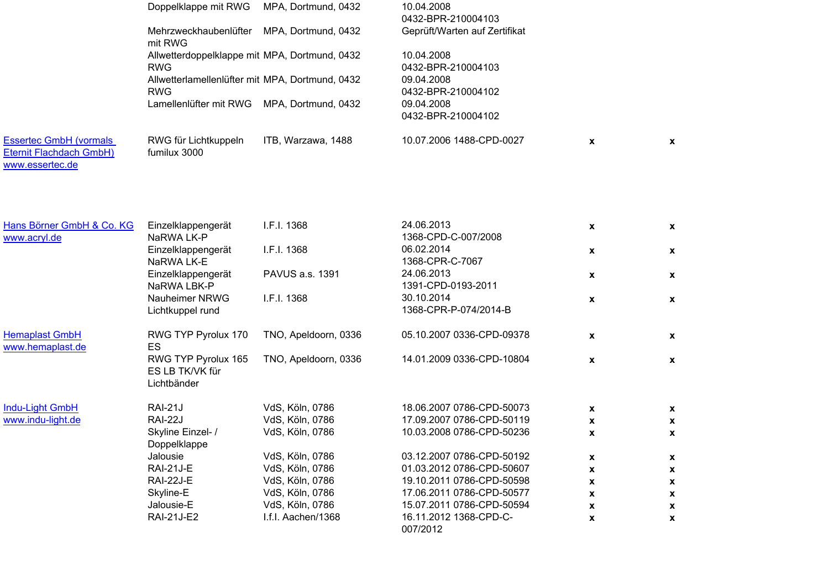|                                                                             | Doppelklappe mit RWG                                  | MPA, Dortmund, 0432  | 10.04.2008<br>0432-BPR-210004103    |                           |              |
|-----------------------------------------------------------------------------|-------------------------------------------------------|----------------------|-------------------------------------|---------------------------|--------------|
|                                                                             | Mehrzweckhaubenlüfter<br>mit RWG                      | MPA, Dortmund, 0432  | Geprüft/Warten auf Zertifikat       |                           |              |
|                                                                             | Allwetterdoppelklappe mit MPA, Dortmund, 0432         |                      | 10.04.2008                          |                           |              |
|                                                                             | <b>RWG</b>                                            |                      | 0432-BPR-210004103                  |                           |              |
|                                                                             | Allwetterlamellenlüfter mit MPA, Dortmund, 0432       |                      | 09.04.2008                          |                           |              |
|                                                                             | <b>RWG</b>                                            |                      | 0432-BPR-210004102                  |                           |              |
|                                                                             | Lamellenlüfter mit RWG                                | MPA, Dortmund, 0432  | 09.04.2008<br>0432-BPR-210004102    |                           |              |
| <b>Essertec GmbH (vormals</b><br>Eternit Flachdach GmbH)<br>www.essertec.de | RWG für Lichtkuppeln<br>fumilux 3000                  | ITB, Warzawa, 1488   | 10.07.2006 1488-CPD-0027            | $\boldsymbol{\mathsf{x}}$ | X            |
| Hans Börner GmbH & Co. KG<br>www.acryl.de                                   | Einzelklappengerät<br>NaRWA LK-P                      | I.F.I. 1368          | 24.06.2013<br>1368-CPD-C-007/2008   | $\pmb{\chi}$              | X            |
|                                                                             | Einzelklappengerät                                    | I.F.I. 1368          | 06.02.2014                          | X                         | X            |
|                                                                             | NaRWA LK-E                                            |                      | 1368-CPR-C-7067                     |                           |              |
|                                                                             | Einzelklappengerät                                    | PAVUS a.s. 1391      | 24.06.2013                          | $\boldsymbol{\mathsf{x}}$ | X            |
|                                                                             | NaRWA LBK-P                                           |                      | 1391-CPD-0193-2011                  |                           |              |
|                                                                             | Nauheimer NRWG<br>Lichtkuppel rund                    | I.F.I. 1368          | 30.10.2014<br>1368-CPR-P-074/2014-B | $\pmb{\mathsf{x}}$        | X            |
| <b>Hemaplast GmbH</b><br>www.hemaplast.de                                   | RWG TYP Pyrolux 170<br>ES                             | TNO, Apeldoorn, 0336 | 05.10.2007 0336-CPD-09378           | $\boldsymbol{\mathsf{x}}$ | X            |
|                                                                             | RWG TYP Pyrolux 165<br>ES LB TK/VK für<br>Lichtbänder | TNO, Apeldoorn, 0336 | 14.01.2009 0336-CPD-10804           | X                         | X            |
| Indu-Light GmbH                                                             | <b>RAI-21J</b>                                        | VdS, Köln, 0786      | 18.06.2007 0786-CPD-50073           | X                         | X            |
| www.indu-light.de                                                           | <b>RAI-22J</b>                                        | VdS, Köln, 0786      | 17.09.2007 0786-CPD-50119           | X                         | $\mathbf{x}$ |
|                                                                             | Skyline Einzel-/<br>Doppelklappe                      | VdS, Köln, 0786      | 10.03.2008 0786-CPD-50236           | X                         | x            |
|                                                                             | Jalousie                                              | VdS, Köln, 0786      | 03.12.2007 0786-CPD-50192           | $\pmb{\mathsf{x}}$        | X            |
|                                                                             | <b>RAI-21J-E</b>                                      | VdS, Köln, 0786      | 01.03.2012 0786-CPD-50607           | $\pmb{\mathsf{x}}$        | X            |
|                                                                             | <b>RAI-22J-E</b>                                      | VdS, Köln, 0786      | 19.10.2011 0786-CPD-50598           | X                         | x            |
|                                                                             | Skyline-E                                             | VdS, Köln, 0786      | 17.06.2011 0786-CPD-50577           | X                         | x            |
|                                                                             | Jalousie-E                                            | VdS, Köln, 0786      | 15.07.2011 0786-CPD-50594           | $\pmb{\mathsf{x}}$        | X            |
|                                                                             | <b>RAI-21J-E2</b>                                     | I.f.I. Aachen/1368   | 16.11.2012 1368-CPD-C-<br>007/2012  | $\pmb{\mathsf{x}}$        | X            |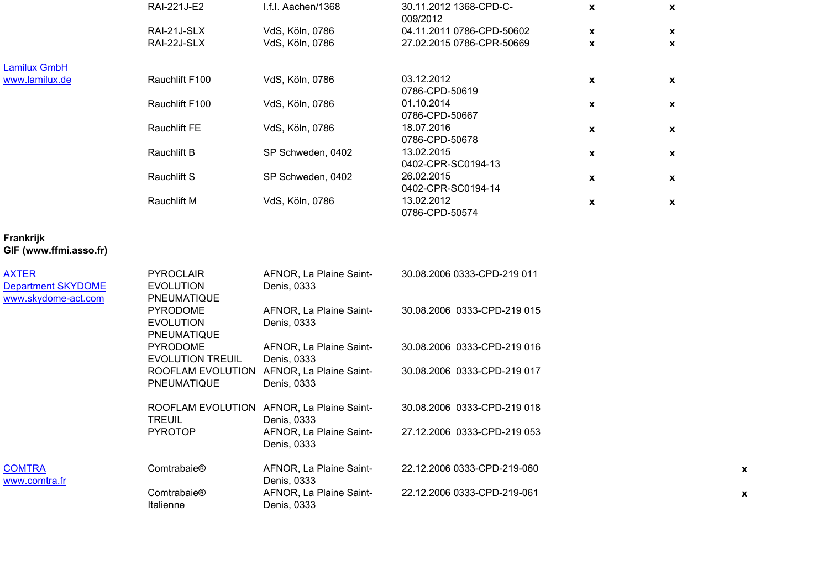|                       | 30.11.2012 1368-CPD-C-<br>$\mathbf{x}$<br>X | 009/2012                                                     | I.f.I. Aachen/1368                                                           | RAI-221J-E2                                         |                |
|-----------------------|---------------------------------------------|--------------------------------------------------------------|------------------------------------------------------------------------------|-----------------------------------------------------|----------------|
| $\mathbf{x}$<br>X     | 04.11.2011 0786-CPD-50602                   |                                                              | VdS, Köln, 0786                                                              | RAI-21J-SLX                                         |                |
| X<br>x                | 27.02.2015 0786-CPR-50669                   |                                                              | VdS, Köln, 0786                                                              | RAI-22J-SLX                                         |                |
|                       |                                             |                                                              |                                                                              |                                                     | Lamilux GmbH   |
| X<br>X                |                                             | 03.12.2012                                                   | VdS, Köln, 0786                                                              | Rauchlift F100                                      | www.lamilux.de |
|                       |                                             |                                                              |                                                                              |                                                     |                |
| X<br>X                |                                             |                                                              |                                                                              |                                                     |                |
|                       |                                             | 0786-CPD-50667                                               |                                                                              |                                                     |                |
| $\mathbf{x}$<br>X     |                                             | 18.07.2016                                                   | VdS, Köln, 0786                                                              | <b>Rauchlift FE</b>                                 |                |
|                       |                                             | 0786-CPD-50678                                               |                                                                              |                                                     |                |
| X                     |                                             | 13.02.2015                                                   |                                                                              | <b>Rauchlift B</b>                                  |                |
|                       | 0402-CPR-SC0194-13                          |                                                              |                                                                              |                                                     |                |
| X                     |                                             | 26.02.2015                                                   |                                                                              |                                                     |                |
|                       |                                             |                                                              |                                                                              |                                                     |                |
| X                     |                                             |                                                              |                                                                              |                                                     |                |
|                       |                                             |                                                              |                                                                              |                                                     |                |
| $\mathbf x$<br>X<br>X | 0402-CPR-SC0194-14                          | 0786-CPD-50619<br>01.10.2014<br>13.02.2012<br>0786-CPD-50574 | VdS, Köln, 0786<br>SP Schweden, 0402<br>SP Schweden, 0402<br>VdS, Köln, 0786 | Rauchlift F100<br><b>Rauchlift S</b><br>Rauchlift M |                |

## **Frankrijk GIF (www.ffmi.asso.fr)**

| <b>AXTER</b><br><b>Department SKYDOME</b><br>www.skydome-act.com | <b>PYROCLAIR</b><br><b>EVOLUTION</b><br><b>PNEUMATIQUE</b> | AFNOR, La Plaine Saint-<br>Denis, 0333 | 30.08.2006 0333-CPD-219 011 |
|------------------------------------------------------------------|------------------------------------------------------------|----------------------------------------|-----------------------------|
|                                                                  | <b>PYRODOME</b><br><b>EVOLUTION</b><br><b>PNEUMATIQUE</b>  | AFNOR, La Plaine Saint-<br>Denis, 0333 | 30.08.2006 0333-CPD-219 015 |
|                                                                  | <b>PYRODOME</b><br>EVOLUTION TREUIL                        | AFNOR, La Plaine Saint-<br>Denis, 0333 | 30.08.2006 0333-CPD-219 016 |
|                                                                  | ROOFLAM EVOLUTION<br><b>PNEUMATIQUE</b>                    | AFNOR, La Plaine Saint-<br>Denis, 0333 | 30.08.2006 0333-CPD-219 017 |
|                                                                  | ROOFLAM EVOLUTION<br><b>TREUIL</b>                         | AFNOR, La Plaine Saint-<br>Denis, 0333 | 30.08.2006 0333-CPD-219 018 |
|                                                                  | <b>PYROTOP</b>                                             | AFNOR, La Plaine Saint-<br>Denis, 0333 | 27.12.2006 0333-CPD-219 053 |
| <b>COMTRA</b><br>www.comtra.fr                                   | Comtrabaie <sup>®</sup>                                    | AFNOR, La Plaine Saint-<br>Denis, 0333 | 22.12.2006 0333-CPD-219-060 |
|                                                                  | Comtrabaie <sup>®</sup><br>Italienne                       | AFNOR, La Plaine Saint-<br>Denis, 0333 | 22.12.2006 0333-CPD-219-061 |

**x**

**x**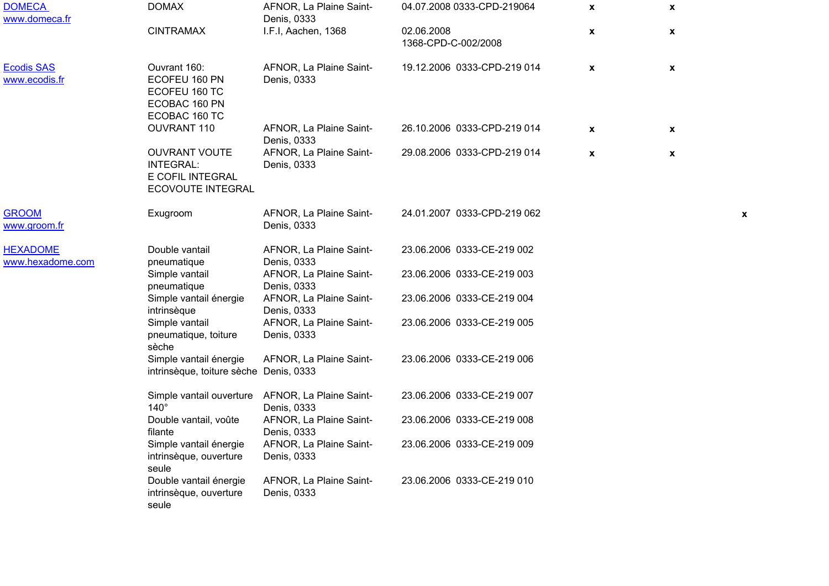| <b>DOMECA</b><br>www.domeca.fr      | <b>DOMAX</b>                                                                             | AFNOR, La Plaine Saint-<br>Denis, 0333 | 04.07.2008 0333-CPD-219064        | $\mathbf{x}$       | $\mathbf{x}$       |   |
|-------------------------------------|------------------------------------------------------------------------------------------|----------------------------------------|-----------------------------------|--------------------|--------------------|---|
|                                     | <b>CINTRAMAX</b>                                                                         | I.F.I, Aachen, 1368                    | 02.06.2008<br>1368-CPD-C-002/2008 | $\mathbf{x}$       | $\pmb{\mathsf{x}}$ |   |
| <b>Ecodis SAS</b><br>www.ecodis.fr  | Ouvrant 160:<br>ECOFEU 160 PN<br>ECOFEU 160 TC<br>ECOBAC 160 PN<br>ECOBAC 160 TC         | AFNOR, La Plaine Saint-<br>Denis, 0333 | 19.12.2006 0333-CPD-219 014       | $\pmb{\mathsf{X}}$ | $\pmb{\chi}$       |   |
|                                     | OUVRANT 110                                                                              | AFNOR, La Plaine Saint-<br>Denis, 0333 | 26.10.2006 0333-CPD-219 014       | $\pmb{\mathsf{X}}$ | $\pmb{\chi}$       |   |
|                                     | <b>OUVRANT VOUTE</b><br><b>INTEGRAL:</b><br>E COFIL INTEGRAL<br><b>ECOVOUTE INTEGRAL</b> | AFNOR, La Plaine Saint-<br>Denis, 0333 | 29.08.2006 0333-CPD-219 014       | $\pmb{\mathsf{x}}$ | $\pmb{\chi}$       |   |
| <b>GROOM</b><br>www.groom.fr        | Exugroom                                                                                 | AFNOR, La Plaine Saint-<br>Denis, 0333 | 24.01.2007 0333-CPD-219 062       |                    |                    | х |
| <b>HEXADOME</b><br>www.hexadome.com | Double vantail<br>pneumatique                                                            | AFNOR, La Plaine Saint-<br>Denis, 0333 | 23.06.2006 0333-CE-219 002        |                    |                    |   |
|                                     | Simple vantail<br>pneumatique                                                            | AFNOR, La Plaine Saint-<br>Denis, 0333 | 23.06.2006 0333-CE-219 003        |                    |                    |   |
|                                     | Simple vantail énergie<br>intrinsèque                                                    | AFNOR, La Plaine Saint-<br>Denis, 0333 | 23.06.2006 0333-CE-219 004        |                    |                    |   |
|                                     | Simple vantail<br>pneumatique, toiture<br>sèche                                          | AFNOR, La Plaine Saint-<br>Denis, 0333 | 23.06.2006 0333-CE-219 005        |                    |                    |   |
|                                     | Simple vantail énergie<br>intrinsèque, toiture sèche Denis, 0333                         | AFNOR, La Plaine Saint-                | 23.06.2006 0333-CE-219 006        |                    |                    |   |
|                                     | Simple vantail ouverture<br>$140^\circ$                                                  | AFNOR, La Plaine Saint-<br>Denis, 0333 | 23.06.2006 0333-CE-219 007        |                    |                    |   |
|                                     | Double vantail, voûte<br>filante                                                         | AFNOR, La Plaine Saint-<br>Denis, 0333 | 23.06.2006 0333-CE-219 008        |                    |                    |   |
|                                     | Simple vantail énergie<br>intrinsèque, ouverture<br>seule                                | AFNOR, La Plaine Saint-<br>Denis, 0333 | 23.06.2006 0333-CE-219 009        |                    |                    |   |
|                                     | Double vantail énergie<br>intrinsèque, ouverture<br>seule                                | AFNOR, La Plaine Saint-<br>Denis, 0333 | 23.06.2006 0333-CE-219 010        |                    |                    |   |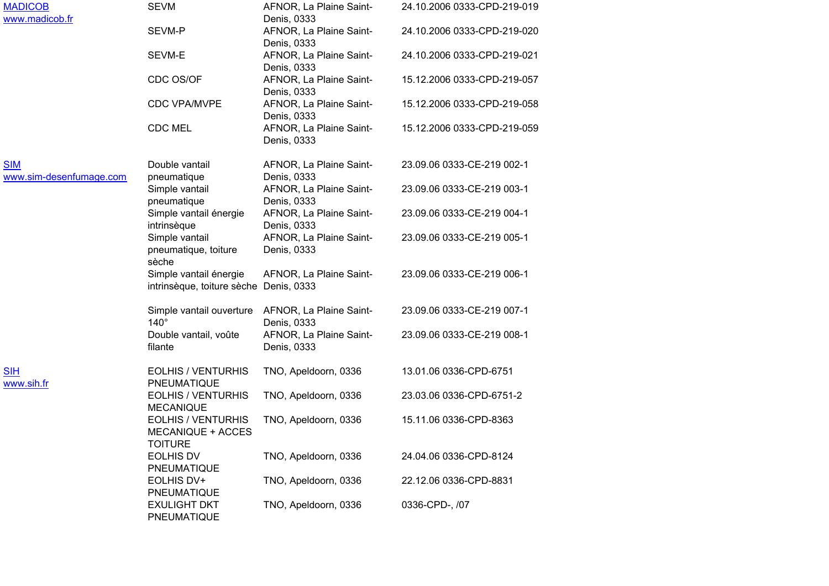| MADICOB<br>www.madicob.fr             | <b>SEVM</b>                                                      | AFNOR, La Plaine Saint-<br>Denis, 0333                          | 24.10.2006 0333-CPD-219-019 |
|---------------------------------------|------------------------------------------------------------------|-----------------------------------------------------------------|-----------------------------|
|                                       | SEVM-P                                                           | AFNOR, La Plaine Saint-<br>Denis, 0333                          | 24.10.2006 0333-CPD-219-020 |
|                                       | SEVM-E                                                           | AFNOR, La Plaine Saint-<br>Denis, 0333                          | 24.10.2006 0333-CPD-219-021 |
|                                       | CDC OS/OF                                                        | AFNOR, La Plaine Saint-<br>Denis, 0333                          | 15.12.2006 0333-CPD-219-057 |
|                                       | <b>CDC VPA/MVPE</b>                                              | AFNOR, La Plaine Saint-<br>Denis, 0333                          | 15.12.2006 0333-CPD-219-058 |
|                                       | <b>CDC MEL</b>                                                   | AFNOR, La Plaine Saint-<br>Denis, 0333                          | 15.12.2006 0333-CPD-219-059 |
| <b>SIM</b><br>www.sim-desenfumage.com | Double vantail<br>pneumatique                                    | AFNOR, La Plaine Saint-<br>Denis, 0333                          | 23.09.06 0333-CE-219 002-1  |
|                                       | Simple vantail<br>pneumatique                                    | AFNOR, La Plaine Saint-<br>Denis, 0333                          | 23.09.06 0333-CE-219 003-1  |
|                                       | Simple vantail énergie<br>intrinsèque                            | AFNOR, La Plaine Saint-<br>Denis, 0333                          | 23.09.06 0333-CE-219 004-1  |
|                                       | Simple vantail<br>pneumatique, toiture<br>sèche                  | AFNOR, La Plaine Saint-<br>Denis, 0333                          | 23.09.06 0333-CE-219 005-1  |
|                                       | Simple vantail énergie<br>intrinsèque, toiture sèche Denis, 0333 | AFNOR, La Plaine Saint-                                         | 23.09.06 0333-CE-219 006-1  |
|                                       | $140^\circ$                                                      | Simple vantail ouverture AFNOR, La Plaine Saint-<br>Denis, 0333 | 23.09.06 0333-CE-219 007-1  |
|                                       | Double vantail, voûte<br>filante                                 | AFNOR, La Plaine Saint-<br>Denis, 0333                          | 23.09.06 0333-CE-219 008-1  |
| <b>SIH</b><br>www.sih.fr              | <b>EOLHIS / VENTURHIS</b><br>PNEUMATIQUE                         | TNO, Apeldoorn, 0336                                            | 13.01.06 0336-CPD-6751      |
|                                       | <b>EOLHIS / VENTURHIS</b><br><b>MECANIQUE</b>                    | TNO, Apeldoorn, 0336                                            | 23.03.06 0336-CPD-6751-2    |
|                                       | <b>EOLHIS / VENTURHIS</b><br>MECANIQUE + ACCES<br><b>TOITURE</b> | TNO, Apeldoorn, 0336                                            | 15.11.06 0336-CPD-8363      |
|                                       | <b>EOLHIS DV</b><br>PNEUMATIQUE                                  | TNO, Apeldoorn, 0336                                            | 24.04.06 0336-CPD-8124      |
|                                       | EOLHIS DV+<br>PNEUMATIQUE                                        | TNO, Apeldoorn, 0336                                            | 22.12.06 0336-CPD-8831      |
|                                       | <b>EXULIGHT DKT</b><br>PNEUMATIQUE                               | TNO, Apeldoorn, 0336                                            | 0336-CPD-, /07              |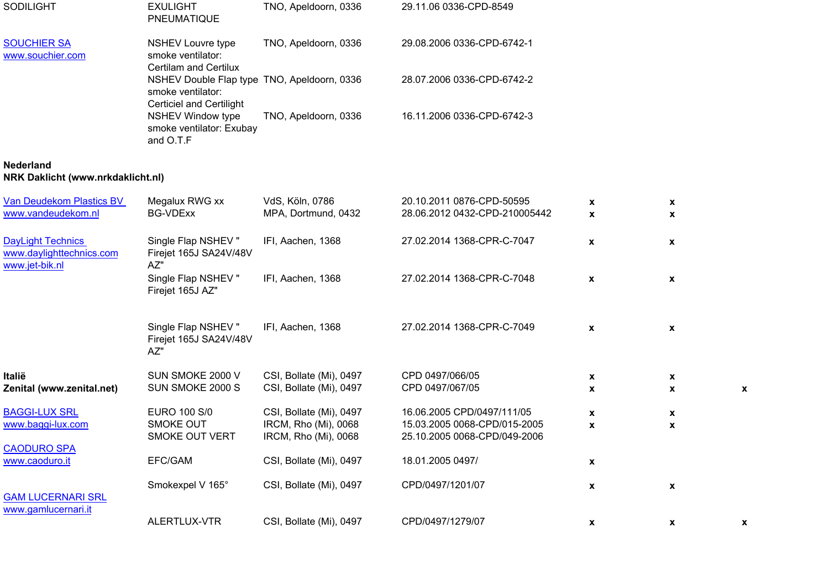| <b>SODILIGHT</b>                                                       | <b>EXULIGHT</b><br>PNEUMATIQUE                                                                      | TNO, Apeldoorn, 0336                               | 29.11.06 0336-CPD-8549                                       |                    |                                                 |   |
|------------------------------------------------------------------------|-----------------------------------------------------------------------------------------------------|----------------------------------------------------|--------------------------------------------------------------|--------------------|-------------------------------------------------|---|
| <b>SOUCHIER SA</b><br>www.souchier.com                                 | <b>NSHEV Louvre type</b><br>smoke ventilator:<br><b>Certilam and Certilux</b>                       | TNO, Apeldoorn, 0336                               | 29.08.2006 0336-CPD-6742-1                                   |                    |                                                 |   |
|                                                                        | NSHEV Double Flap type TNO, Apeldoorn, 0336<br>smoke ventilator:<br><b>Certiciel and Certilight</b> |                                                    | 28.07.2006 0336-CPD-6742-2                                   |                    |                                                 |   |
|                                                                        | <b>NSHEV Window type</b><br>smoke ventilator: Exubay<br>and O.T.F                                   | TNO, Apeldoorn, 0336                               | 16.11.2006 0336-CPD-6742-3                                   |                    |                                                 |   |
| <b>Nederland</b><br>NRK Daklicht (www.nrkdaklicht.nl)                  |                                                                                                     |                                                    |                                                              |                    |                                                 |   |
| Van Deudekom Plastics BV<br>www.vandeudekom.nl                         | Megalux RWG xx<br><b>BG-VDExx</b>                                                                   | VdS, Köln, 0786<br>MPA, Dortmund, 0432             | 20.10.2011 0876-CPD-50595<br>28.06.2012 0432-CPD-210005442   | X<br>$\mathbf{x}$  | $\pmb{\mathsf{X}}$<br>X                         |   |
| <b>DayLight Technics</b><br>www.daylighttechnics.com<br>www.jet-bik.nl | Single Flap NSHEV"<br>Firejet 165J SA24V/48V<br>AZ"                                                 | IFI, Aachen, 1368                                  | 27.02.2014 1368-CPR-C-7047                                   | $\mathbf{x}$       | X                                               |   |
|                                                                        | Single Flap NSHEV"<br>Firejet 165J AZ"                                                              | IFI, Aachen, 1368                                  | 27.02.2014 1368-CPR-C-7048                                   | $\boldsymbol{x}$   | $\mathbf{x}$                                    |   |
|                                                                        | Single Flap NSHEV"<br>Firejet 165J SA24V/48V<br>AZ"                                                 | IFI, Aachen, 1368                                  | 27.02.2014 1368-CPR-C-7049                                   | $\pmb{\mathsf{x}}$ | $\pmb{\mathsf{x}}$                              |   |
| Italië<br>Zenital (www.zenital.net)                                    | SUN SMOKE 2000 V<br>SUN SMOKE 2000 S                                                                | CSI, Bollate (Mi), 0497<br>CSI, Bollate (Mi), 0497 | CPD 0497/066/05<br>CPD 0497/067/05                           | X<br>X             | $\pmb{\mathsf{x}}$<br>$\boldsymbol{\mathsf{x}}$ | X |
| <b>BAGGI-LUX SRL</b>                                                   | <b>EURO 100 S/0</b>                                                                                 | CSI, Bollate (Mi), 0497                            | 16.06.2005 CPD/0497/111/05                                   | $\pmb{\mathsf{x}}$ | $\pmb{\mathsf{x}}$                              |   |
| www.baggi-lux.com                                                      | SMOKE OUT<br>SMOKE OUT VERT                                                                         | IRCM, Rho (Mi), 0068<br>IRCM, Rho (Mi), 0068       | 15.03.2005 0068-CPD/015-2005<br>25.10.2005 0068-CPD/049-2006 | $\pmb{\mathsf{x}}$ | $\pmb{\chi}$                                    |   |
| <b>CAODURO SPA</b><br>www.caoduro.it                                   | EFC/GAM                                                                                             | CSI, Bollate (Mi), 0497                            | 18.01.2005 0497/                                             | $\pmb{\mathsf{x}}$ |                                                 |   |
| <b>GAM LUCERNARI SRL</b>                                               | Smokexpel V 165°                                                                                    | CSI, Bollate (Mi), 0497                            | CPD/0497/1201/07                                             | $\pmb{\mathsf{x}}$ | $\pmb{\mathsf{x}}$                              |   |
| www.gamlucernari.it                                                    | ALERTLUX-VTR                                                                                        | CSI, Bollate (Mi), 0497                            | CPD/0497/1279/07                                             | $\mathbf{x}$       | $\mathbf{x}$                                    | X |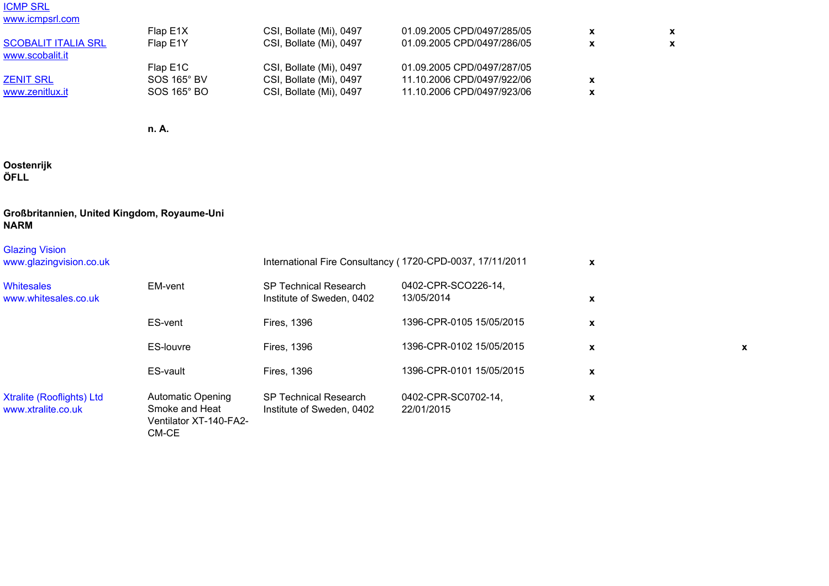# <u>ICMP SRL</u><br>www.icmpsrl.<mark>com</mark>

| Flap E1X    | CSI, Bollate (Mi), 0497 | 01.09.2005 CPD/0497/285/05 |  |
|-------------|-------------------------|----------------------------|--|
| Flap E1Y    | CSI, Bollate (Mi), 0497 | 01.09.2005 CPD/0497/286/05 |  |
|             |                         |                            |  |
| Flap E1C    | CSI, Bollate (Mi), 0497 | 01.09.2005 CPD/0497/287/05 |  |
| SOS 165° BV | CSI, Bollate (Mi), 0497 | 11.10.2006 CPD/0497/922/06 |  |
| SOS 165° BO | CSI, Bollate (Mi), 0497 | 11.10.2006 CPD/0497/923/06 |  |
|             |                         |                            |  |

**n. A.**

### **Oostenrijk ÖFLL**

### **Großbritannien, United Kingdom, Royaume-Uni NARM**

| <b>Glazing Vision</b><br>www.glazingvision.co.uk       |                                                                               |                                                           | International Fire Consultancy (1720-CPD-0037, 17/11/2011 | X           |   |
|--------------------------------------------------------|-------------------------------------------------------------------------------|-----------------------------------------------------------|-----------------------------------------------------------|-------------|---|
| <b>Whitesales</b><br>www.whitesales.co.uk              | EM-vent                                                                       | <b>SP Technical Research</b><br>Institute of Sweden, 0402 | 0402-CPR-SCO226-14,<br>13/05/2014                         | X           |   |
|                                                        | ES-vent                                                                       | <b>Fires, 1396</b>                                        | 1396-CPR-0105 15/05/2015                                  | $\mathbf x$ |   |
|                                                        | <b>ES-louvre</b>                                                              | <b>Fires, 1396</b>                                        | 1396-CPR-0102 15/05/2015                                  | $\mathbf x$ | X |
|                                                        | ES-vault                                                                      | <b>Fires, 1396</b>                                        | 1396-CPR-0101 15/05/2015                                  | X           |   |
| <b>Xtralite (Rooflights) Ltd</b><br>www.xtralite.co.uk | <b>Automatic Opening</b><br>Smoke and Heat<br>Ventilator XT-140-FA2-<br>CM-CE | <b>SP Technical Research</b><br>Institute of Sweden, 0402 | 0402-CPR-SC0702-14,<br>22/01/2015                         | X           |   |